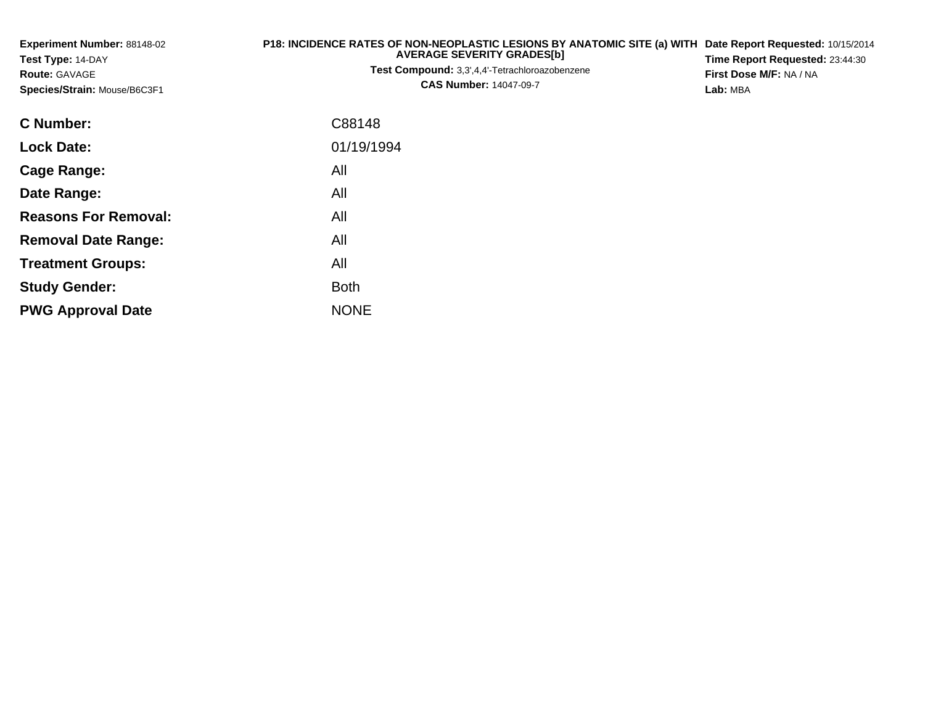| Experiment Number: 88148-02<br>Test Type: 14-DAY<br><b>Route: GAVAGE</b><br>Species/Strain: Mouse/B6C3F1 | P18: INCIDENCE RATES OF NON-NEOPLASTIC LESIONS BY ANATOMIC SITE (a) WITH<br><b>AVERAGE SEVERITY GRADES[b]</b><br>Test Compound: 3,3',4,4'-Tetrachloroazobenzene<br><b>CAS Number: 14047-09-7</b> | Date Report Requested: 10/15/2014<br>Time Report Requested: 23:44:30<br>First Dose M/F: NA / NA<br>Lab: MBA |
|----------------------------------------------------------------------------------------------------------|--------------------------------------------------------------------------------------------------------------------------------------------------------------------------------------------------|-------------------------------------------------------------------------------------------------------------|
| <b>C</b> Number:                                                                                         | C88148                                                                                                                                                                                           |                                                                                                             |
| <b>Lock Date:</b>                                                                                        | 01/19/1994                                                                                                                                                                                       |                                                                                                             |
| <b>Cage Range:</b>                                                                                       | All                                                                                                                                                                                              |                                                                                                             |
| Date Range:                                                                                              | All                                                                                                                                                                                              |                                                                                                             |
| <b>Reasons For Removal:</b>                                                                              | All                                                                                                                                                                                              |                                                                                                             |
| <b>Removal Date Range:</b>                                                                               | All                                                                                                                                                                                              |                                                                                                             |
| <b>Treatment Groups:</b>                                                                                 | All                                                                                                                                                                                              |                                                                                                             |
| <b>Study Gender:</b>                                                                                     | <b>Both</b>                                                                                                                                                                                      |                                                                                                             |
| <b>PWG Approval Date</b>                                                                                 | <b>NONE</b>                                                                                                                                                                                      |                                                                                                             |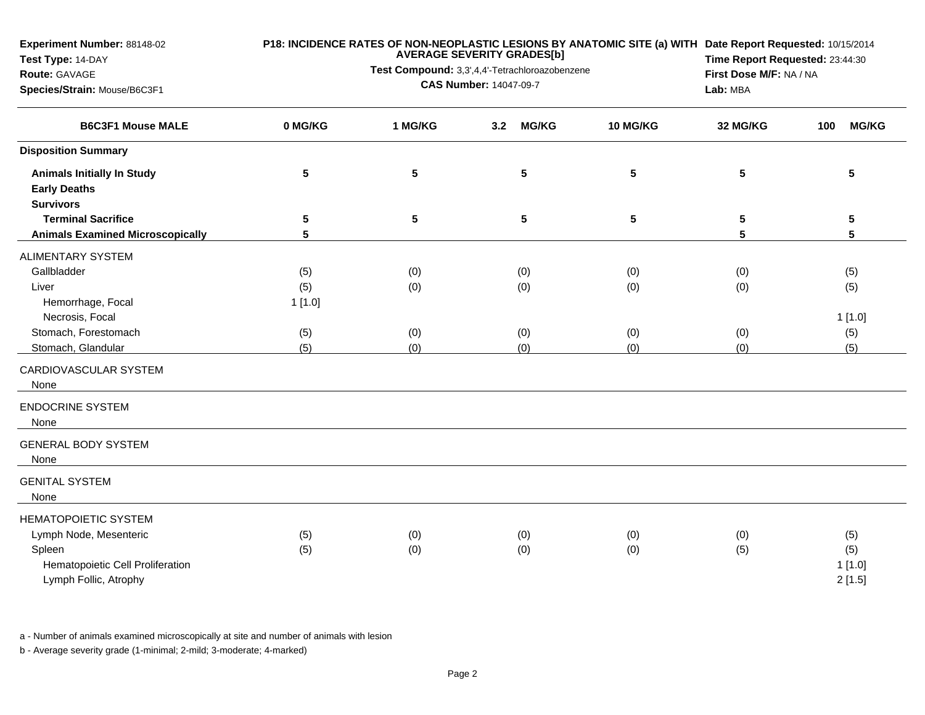**Experiment Number:** 88148-02

## **Test Type:** 14-DAY

## **Route:** GAVAGE

**Species/Strain:** Mouse/B6C3F1

## **P18: INCIDENCE RATES OF NON-NEOPLASTIC LESIONS BY ANATOMIC SITE (a) WITH AVERAGE SEVERITY GRADES[b] Date Report Requested:** 10/15/2014

**Test Compound:** 3,3',4,4'-Tetrachloroazobenzene**CAS Number:** 14047-09-7

**Time Report Requested:** 23:44:30**First Dose M/F:** NA / NA**Lab:** MBA

| <b>B6C3F1 Mouse MALE</b>                                                                                                     | 0 MG/KG    | 1 MG/KG         | <b>MG/KG</b><br>3.2 | 10 MG/KG        | 32 MG/KG        | <b>MG/KG</b><br>100            |  |
|------------------------------------------------------------------------------------------------------------------------------|------------|-----------------|---------------------|-----------------|-----------------|--------------------------------|--|
| <b>Disposition Summary</b>                                                                                                   |            |                 |                     |                 |                 |                                |  |
| <b>Animals Initially In Study</b><br><b>Early Deaths</b><br><b>Survivors</b>                                                 | 5          | $5\phantom{.0}$ | ${\bf 5}$           | $5\phantom{.0}$ | 5               | $\sqrt{5}$                     |  |
| <b>Terminal Sacrifice</b>                                                                                                    | 5          | $5\phantom{.0}$ | 5                   | 5               | $5\phantom{.0}$ | ${\bf 5}$                      |  |
| <b>Animals Examined Microscopically</b>                                                                                      | 5          |                 |                     |                 | 5               | 5                              |  |
| <b>ALIMENTARY SYSTEM</b>                                                                                                     |            |                 |                     |                 |                 |                                |  |
| Gallbladder                                                                                                                  | (5)        | (0)             | (0)                 | (0)<br>(0)      |                 | (5)                            |  |
| Liver                                                                                                                        | (5)        | (0)             | (0)                 | (0)             | (0)             | (5)                            |  |
| Hemorrhage, Focal                                                                                                            | 1[1.0]     |                 |                     |                 |                 |                                |  |
| Necrosis, Focal                                                                                                              |            |                 |                     |                 |                 | 1[1.0]                         |  |
| Stomach, Forestomach                                                                                                         | (5)        | (0)             | (0)                 | (0)             | (0)             | (5)                            |  |
| Stomach, Glandular                                                                                                           | (5)        | (0)             | (0)                 | (0)             | (0)             | (5)                            |  |
| CARDIOVASCULAR SYSTEM<br>None                                                                                                |            |                 |                     |                 |                 |                                |  |
| <b>ENDOCRINE SYSTEM</b><br>None                                                                                              |            |                 |                     |                 |                 |                                |  |
| <b>GENERAL BODY SYSTEM</b><br>None                                                                                           |            |                 |                     |                 |                 |                                |  |
| <b>GENITAL SYSTEM</b><br>None                                                                                                |            |                 |                     |                 |                 |                                |  |
| <b>HEMATOPOIETIC SYSTEM</b><br>Lymph Node, Mesenteric<br>Spleen<br>Hematopoietic Cell Proliferation<br>Lymph Follic, Atrophy | (5)<br>(5) | (0)<br>(0)      | (0)<br>(0)          | (0)<br>(0)      | (0)<br>(5)      | (5)<br>(5)<br>1[1.0]<br>2[1.5] |  |

a - Number of animals examined microscopically at site and number of animals with lesion

b - Average severity grade (1-minimal; 2-mild; 3-moderate; 4-marked)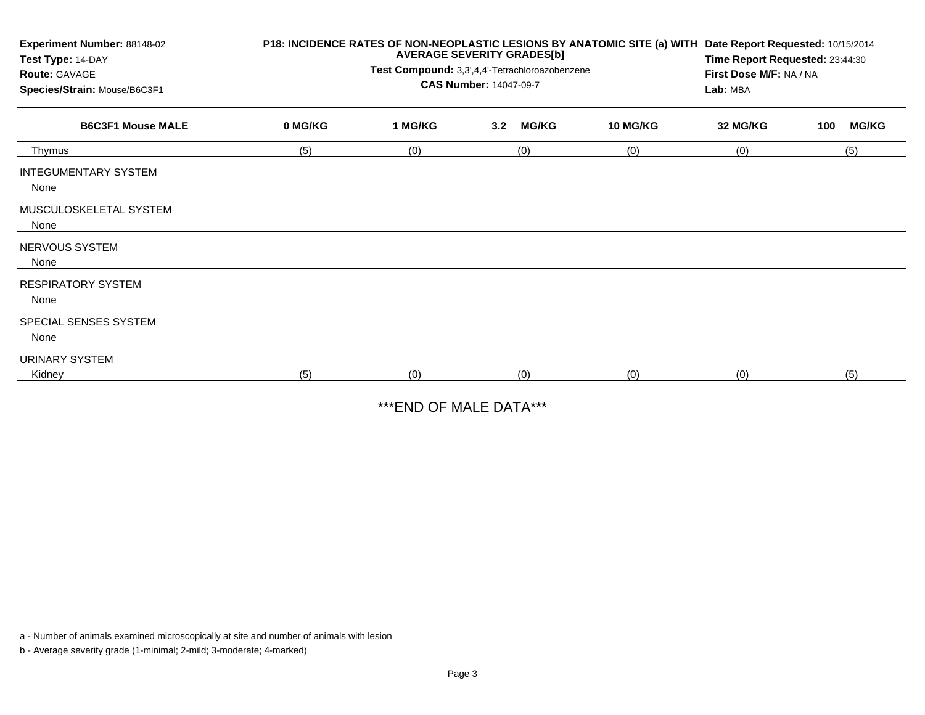| Experiment Number: 88148-02<br>Test Type: 14-DAY<br>Route: GAVAGE<br>Species/Strain: Mouse/B6C3F1 | P18: INCIDENCE RATES OF NON-NEOPLASTIC LESIONS BY ANATOMIC SITE (a) WITH<br><b>AVERAGE SEVERITY GRADES[b]</b><br>Test Compound: 3,3',4,4'-Tetrachloroazobenzene<br><b>CAS Number: 14047-09-7</b> |         |     |              |                 | Date Report Requested: 10/15/2014<br>Time Report Requested: 23:44:30<br>First Dose M/F: NA / NA<br>Lab: MBA |     |              |
|---------------------------------------------------------------------------------------------------|--------------------------------------------------------------------------------------------------------------------------------------------------------------------------------------------------|---------|-----|--------------|-----------------|-------------------------------------------------------------------------------------------------------------|-----|--------------|
| <b>B6C3F1 Mouse MALE</b>                                                                          | 0 MG/KG                                                                                                                                                                                          | 1 MG/KG | 3.2 | <b>MG/KG</b> | <b>10 MG/KG</b> | 32 MG/KG                                                                                                    | 100 | <b>MG/KG</b> |
| Thymus                                                                                            | (5)                                                                                                                                                                                              | (0)     |     | (0)          | (0)             | (0)                                                                                                         |     | (5)          |
| <b>INTEGUMENTARY SYSTEM</b><br>None                                                               |                                                                                                                                                                                                  |         |     |              |                 |                                                                                                             |     |              |
| MUSCULOSKELETAL SYSTEM<br>None                                                                    |                                                                                                                                                                                                  |         |     |              |                 |                                                                                                             |     |              |
| NERVOUS SYSTEM<br>None                                                                            |                                                                                                                                                                                                  |         |     |              |                 |                                                                                                             |     |              |
| <b>RESPIRATORY SYSTEM</b><br>None                                                                 |                                                                                                                                                                                                  |         |     |              |                 |                                                                                                             |     |              |
| SPECIAL SENSES SYSTEM<br>None                                                                     |                                                                                                                                                                                                  |         |     |              |                 |                                                                                                             |     |              |
| <b>URINARY SYSTEM</b><br>Kidney                                                                   | (5)                                                                                                                                                                                              | (0)     |     | (0)          | (0)             | (0)                                                                                                         |     | (5)          |

\*\*\*END OF MALE DATA\*\*\*

a - Number of animals examined microscopically at site and number of animals with lesion

b - Average severity grade (1-minimal; 2-mild; 3-moderate; 4-marked)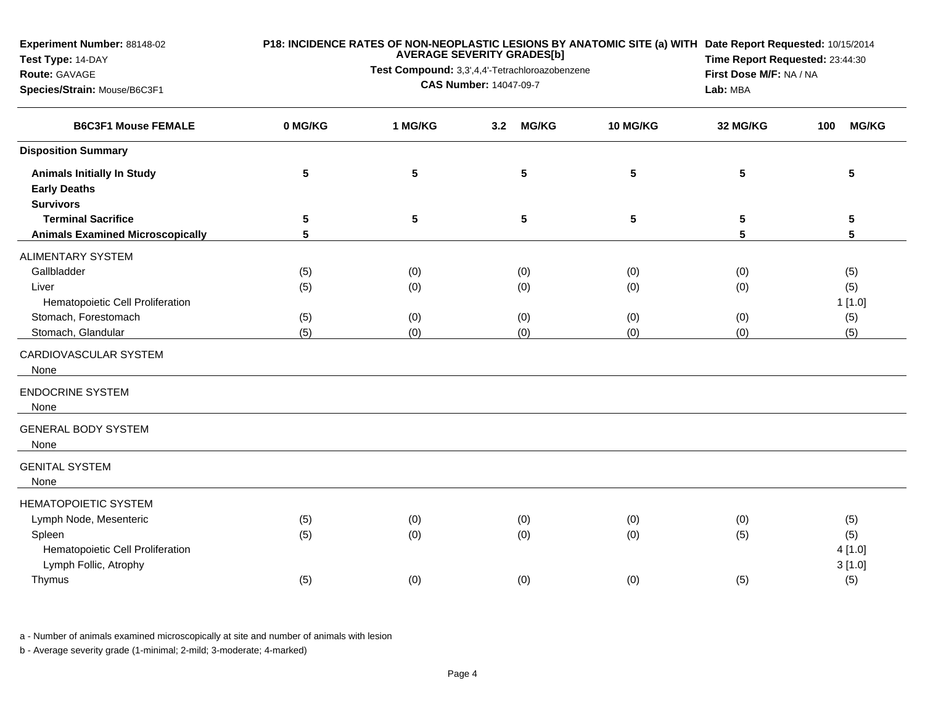**Test Type:** 14-DAY**Route:** GAVAGE **Species/Strain:** Mouse/B6C3F1**AVERAGE SEVERITY GRADES[b]Test Compound:** 3,3',4,4'-Tetrachloroazobenzene**CAS Number:** 14047-09-7**Time Report Requested:** 23:44:30**First Dose M/F:** NA / NA**Lab:** MBA**B6C3F1 Mouse FEMALE 0 MG/KG 1 MG/KG 3.2 MG/KG 10 MG/KG 32 MG/KG 100 MG/KG Disposition SummaryAnimals Initially In Study <sup>5</sup> <sup>5</sup> <sup>5</sup> <sup>5</sup> <sup>5</sup> <sup>5</sup> Early DeathsSurvivors Terminal Sacrifice <sup>5</sup> <sup>5</sup> <sup>5</sup> <sup>5</sup> <sup>5</sup> <sup>5</sup> Animals Examined Microscopically <sup>5</sup> <sup>5</sup> <sup>5</sup>** ALIMENTARY SYSTEMGallbladderr (5) (5) (6) (0) (0) (0) (0) (0) (0) (5) (5) Liver (5) (0) (0) (0) (0) (5) Hematopoietic Cell Proliferationn  $1\,[1.0]$ Stomach, Forestomachh (5) (0) (0) (0) (0) (0) (0) (0) (5) Stomach, Glandular (5) (0) (0) (0) (0) (5) CARDIOVASCULAR SYSTEMNoneENDOCRINE SYSTEMNoneGENERAL BODY SYSTEMNoneGENITAL SYSTEMNoneHEMATOPOIETIC SYSTEM Lymph Node, Mesentericc (5) (6) (0) (0) (0) (0) (0) (0) (5) Spleenn (5) (6) (6) (0) (0) (0) (6) (5) (5) (5) Hematopoietic Cell Proliferationn  $4[1.0]$ Lymph Follic, Atrophy 3 [1.0] Thymuss (5) (6) (0) (0) (0) (0) (5) (5) (5)

**P18: INCIDENCE RATES OF NON-NEOPLASTIC LESIONS BY ANATOMIC SITE (a) WITHDate Report Requested:** 10/15/2014

a - Number of animals examined microscopically at site and number of animals with lesion

b - Average severity grade (1-minimal; 2-mild; 3-moderate; 4-marked)

**Experiment Number:** 88148-02